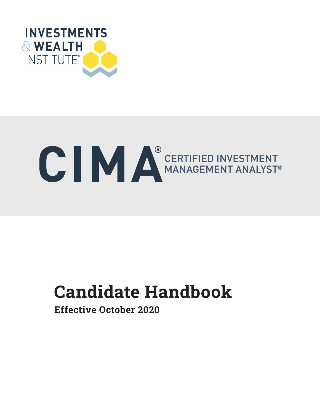

# C IV CERTIFIED INVESTMENT

# **Candidate Handbook** Candidate Handbook

Effective October 2020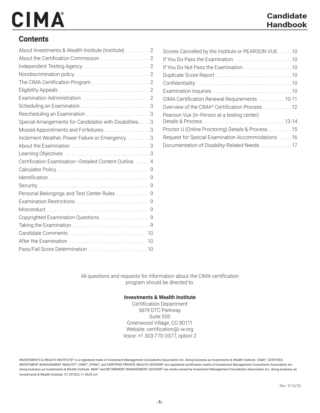#### **Contents**

| About Investments & Wealth Institute (Institute) 2     |
|--------------------------------------------------------|
|                                                        |
|                                                        |
|                                                        |
|                                                        |
|                                                        |
|                                                        |
|                                                        |
| Rescheduling an Examination 3                          |
| Special Arrangements for Candidates with Disabilities3 |
| Missed Appointments and Forfeitures3                   |
| Inclement Weather, Power Failure or Emergency3         |
|                                                        |
|                                                        |
| Certification Examination-Detailed Content Outline 4   |
|                                                        |
|                                                        |
|                                                        |
| Personal Belongings and Test Center Rules 9            |
|                                                        |
|                                                        |
|                                                        |
|                                                        |
|                                                        |
|                                                        |
| Pass/Fail Score Determination 10                       |

| Scores Cancelled by the Institute or PEARSON VUE10 |
|----------------------------------------------------|
|                                                    |
|                                                    |
|                                                    |
|                                                    |
|                                                    |
| CIMA Certification Renewal Requirements 10-11      |
| Overview of the CIMA® Certification Process 12     |
| Pearson Vue (In-Person at a testing center)        |
|                                                    |
| Proctor U (Online Proctoring) Details & Process15  |
| Request for Special Examination Accommodations 16  |
| Documentation of Disability-Related Needs 17       |

All questions and requests for information about the CIMA certification program should be directed to:

#### **Investments & Wealth Institute**

Certification Department 5619 DTC Parkway Suite 500 Greenwood Village, CO 80111 Website: certification@i-w.org Voice: +1 303-770-3377, option 2

INVESTMENTS & WEALTH INSTITUTE® is a registered mark of Investment Management Consultants Association Inc. doing business as Investments & Wealth Institute. CIMA®, CERTIFIED INVESTMENT MANAGEMENT ANALYST®, CIMC®, CPWA®, and CERTIFIED PRIVATE WEALTH ADVISOR® are registered certification marks of Investment Management Consultants Association Inc. doing business as Investments & Wealth Institute. RMA® and RETIREMENT MANAGEMENT ADVISOR® are marks owned by Investment Management Consultants Association Inc. doing business as Investments & Wealth Institute. 01.201022.11.0625.ctrl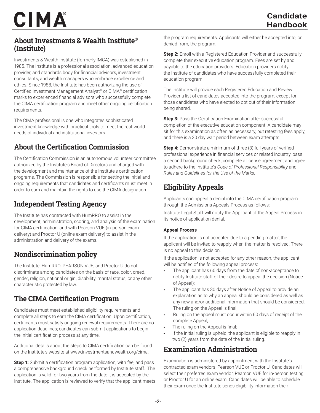#### About Investments & Wealth Institute® (Institute)

Investments & Wealth Institute (formerly IMCA) was established in 1985. The Institute is a professional association, advanced education provider, and standards body for financial advisors, investment consultants, and wealth managers who embrace excellence and ethics. Since 1988, the Institute has been authorizing the use of Certified Investment Management Analyst® or CIMA® certification marks to experienced financial advisors who successfully complete the CIMA certification program and meet other ongoing certification requirements.

The CIMA professional is one who integrates sophisticated investment knowledge with practical tools to meet the real-world needs of individual and institutional investors.

#### About the Certification Commission

The Certification Commission is an autonomous volunteer committee authorized by the Institute's Board of Directors and charged with the development and maintenance of the Institute's certification programs. The Commission is responsible for setting the initial and ongoing requirements that candidates and certificants must meet in order to earn and maintain the rights to use the CIMA designation.

#### Independent Testing Agency

The Institute has contracted with HumRRO to assist in the development, administration, scoring, and analysis of the examination for CIMA certification, and with Pearson VUE (in-person exam delivery) and Proctor U (online exam delivery) to assist in the administration and delivery of the exams.

#### Nondiscrimination policy

The Institute, HumRRO, PEARSON VUE, and Proctor U do not discriminate among candidates on the basis of race, color, creed, gender, religion, national origin, disability, marital status, or any other characteristic protected by law.

#### The CIMA Certification Program

Candidates must meet established eligibility requirements and complete all steps to earn the CIMA certification. Upon certification, certificants must satisfy ongoing renewal requirements. There are no application deadlines; candidates can submit applications to begin the initial certification process at any time.

Additional details about the steps to CIMA certification can be found on the Institute's website at www.investmentsandwealth.org/cima.

**Step 1:** Submit a certification program application, with fee, and pass a comprehensive background check performed by Institute staff. The application is valid for two years from the date it is accepted by the Institute. The application is reviewed to verify that the applicant meets the program requirements. Applicants will either be accepted into, or denied from, the program.

**Step 2:** Enroll with a Registered Education Provider and successfully complete their executive education program. Fees are set by and payable to the education providers. Education providers notify the Institute of candidates who have successfully completed their education program.

The Institute will provide each Registered Education and Review Provider a list of candidates accepted into the program, except for those candidates who have elected to opt out of their information being shared.

**Step 3:** Pass the Certification Examination after successful completion of the executive education component. A candidate may sit for this examination as often as necessary, but retesting fees apply, and there is a 30 day wait period between exam attempts.

**Step 4:** Demonstrate a minimum of three (3) full years of verified professional experience in financial services or related industry, pass a second background check, complete a license agreement and agree to adhere to the Institute's *Code of Professional Responsibility* and *Rules and Guidelines for the Use of the Marks.*

#### Eligibility Appeals

Applicants can appeal a denial into the CIMA certification program through the Admissions Appeals Process as follows:

Institute Legal Staff will notify the Applicant of the Appeal Process in its notice of application denial.

#### **Appeal Process**

If the application is not accepted due to a pending matter, the applicant will be invited to reapply when the matter is resolved. There is no appeal to this decision.

If the application is not accepted for any other reason, the applicant will be notified of the following appeal process:

- The applicant has 60 days from the date of non-acceptance to notify Institute staff of their desire to appeal the decision (Notice of Appeal);
- The applicant has 30 days after Notice of Appeal to provide an explanation as to why an appeal should be considered as well as any new and/or additional information that should be considered. The ruling on the Appeal is final;
- Ruling on the appeal must occur within 60 days of receipt of the complete Appeal;
- The ruling on the Appeal is final;
- If the initial ruling is upheld, the applicant is eligible to reapply in two (2) years from the date of the initial ruling.

#### Examination Administration

Examination is administered by appointment with the Institute's contracted exam vendors, Pearson VUE or Proctor U. Candidates will select their preferred exam vendor, Pearson VUE for in-person testing or Proctor U for an online exam. Candidates will be able to schedule their exam once the Institute sends eligibility information their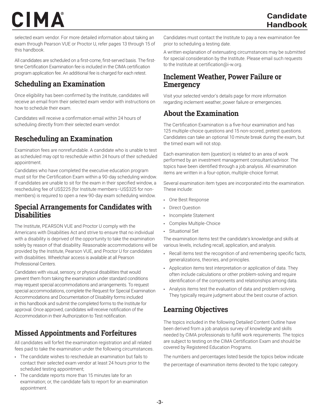selected exam vendor. For more detailed information about taking an exam through Pearson VUE or Proctor U, refer pages 13 through 15 of this handbook.

All candidates are scheduled on a first-come, first-served basis. The firsttime Certification Examination fee is included in the CIMA certification program application fee. An additional fee is charged for each retest.

#### Scheduling an Examination

Once eligibility has been confirmed by the Institute, candidates will receive an email from their selected exam vendor with instructions on how to schedule their exam.

Candidates will receive a confirmation email within 24 hours of scheduling directly from their selected exam vendor.

#### Rescheduling an Examination

Examination fees are nonrefundable. A candidate who is unable to test as scheduled may opt to reschedule within 24 hours of their scheduled appointment.

Candidates who have completed the executive education program must sit for the Certification Exam within a 90-day scheduling window. If candidates are unable to sit for the exam in their specified window, a rescheduling fee of US\$225 (for Institute members–US\$325 for nonmembers) is required to open a new 90-day exam scheduling window.

#### Special Arrangements for Candidates with **Disabilities**

The Institute, PEARSON VUE and Proctor U comply with the Americans with Disabilities Act and strive to ensure that no individual with a disability is deprived of the opportunity to take the examination solely by reason of that disability. Reasonable accommodations will be provided by the Institute, Pearson VUE, and Proctor U for candidates with disabilities. Wheelchair access is available at all Pearson Professional Centers.

Candidates with visual, sensory, or physical disabilities that would prevent them from taking the examination under standard conditions may request special accommodations and arrangements. To request special accommodations, complete the Request for Special Examination Accommodations and Documentation of Disability forms included in this handbook and submit the completed forms to the Institute for approval. Once approved, candidates will receive notification of the Accommodation in their Authorization to Test notification.

#### Missed Appointments and Forfeitures

All candidates will forfeit the examination registration and all related fees paid to take the examination under the following circumstances.

- The candidate wishes to reschedule an examination but fails to contact their selected exam vendor at least 24 hours prior to the scheduled testing appointment;
- The candidate reports more than 15 minutes late for an examination; or, the candidate fails to report for an examination appointment.

Candidates must contact the Institute to pay a new examination fee prior to scheduling a testing date.

A written explanation of extenuating circumstances may be submitted for special consideration by the Institute. Please email such requests to the Institute at certification@i-w.org.

#### Inclement Weather, Power Failure or **Emergency**

Visit your selected vendor's details page for more information regarding inclement weather, power failure or emergencies.

#### About the Examination

The Certification Examination is a five-hour examination and has 125 multiple-choice questions and 15 non-scored, pretest questions. Candidates can take an optional 10 minute break during the exam, but the timed exam will not stop.

Each examination item (question) is related to an area of work performed by an investment management consultant/advisor. The topics have been identified through a job analysis. All examination items are written in a four-option, multiple-choice format.

Several examination item types are incorporated into the examination. These include:

- One Best Response
- Direct Question
- Incomplete Statement
- Complex Multiple-Choice
- Situational Set

The examination items test the candidate's knowledge and skills at various levels, including recall, application, and analysis.

- Recall items test the recognition of and remembering specific facts, generalizations, theories, and principles.
- Application items test interpretation or application of data. They often include calculations or other problem-solving and require identification of the components and relationships among data.
- Analysis items test the evaluation of data and problem-solving. They typically require judgment about the best course of action.

#### Learning Objectives

The topics included in the following Detailed Content Outline have been derived from a job analysis survey of knowledge and skills needed by CIMA professionals to fulfill work requirements. The topics are subject to testing on the CIMA Certification Exam and should be covered by Registered Education Programs.

The numbers and percentages listed beside the topics below indicate the percentage of examination items devoted to the topic category.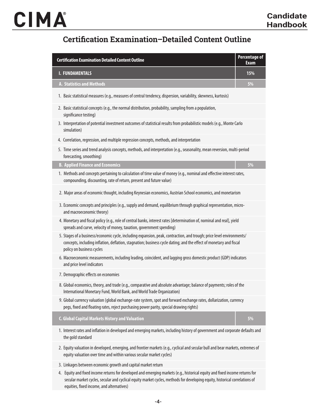#### Certification Examination–Detailed Content Outline

| <b>Certification Examination Detailed Content Outline</b>                                                                                                                                                                                                                | <b>Percentage of</b><br><b>Exam</b> |  |
|--------------------------------------------------------------------------------------------------------------------------------------------------------------------------------------------------------------------------------------------------------------------------|-------------------------------------|--|
| <b>I. FUNDAMENTALS</b>                                                                                                                                                                                                                                                   | 15%                                 |  |
| <b>A. Statistics and Methods</b>                                                                                                                                                                                                                                         | 5%                                  |  |
| 1. Basic statistical measures (e.g., measures of central tendency, dispersion, variability, skewness, kurtosis)                                                                                                                                                          |                                     |  |
| 2. Basic statistical concepts (e.g., the normal distribution, probability, sampling from a population,<br>significance testing)                                                                                                                                          |                                     |  |
| 3. Interpretation of potential investment outcomes of statistical results from probabilistic models (e.g., Monte Carlo<br>simulation)                                                                                                                                    |                                     |  |
| 4. Correlation, regression, and multiple regression concepts, methods, and interpretation                                                                                                                                                                                |                                     |  |
| 5. Time series and trend analysis concepts, methods, and interpretation (e.g., seasonality, mean reversion, multi-period<br>forecasting, smoothing)                                                                                                                      |                                     |  |
| <b>B. Applied Finance and Economics</b>                                                                                                                                                                                                                                  | 5%                                  |  |
| 1. Methods and concepts pertaining to calculation of time value of money (e.g., nominal and effective interest rates,<br>compounding, discounting, rate of return, present and future value)                                                                             |                                     |  |
| 2. Major areas of economic thought, including Keynesian economics, Austrian School economics, and monetarism                                                                                                                                                             |                                     |  |
| 3. Economic concepts and principles (e.g., supply and demand, equilibrium through graphical representation, micro-<br>and macroeconomic theory)                                                                                                                          |                                     |  |
| 4. Monetary and fiscal policy (e.g., role of central banks, interest rates [determination of, nominal and real], yield<br>spreads and curve, velocity of money, taxation, government spending)                                                                           |                                     |  |
| 5. Stages of a business/economic cycle, including expansion, peak, contraction, and trough; price level environments/<br>concepts, including inflation, deflation, stagnation; business cycle dating; and the effect of monetary and fiscal<br>policy on business cycles |                                     |  |
| 6. Macroeconomic measurements, including leading, coincident, and lagging gross domestic product (GDP) indicators<br>and price level indicators                                                                                                                          |                                     |  |
| 7. Demographic effects on economies                                                                                                                                                                                                                                      |                                     |  |
| 8. Global economics, theory, and trade (e.g., comparative and absolute advantage; balance of payments; roles of the<br>International Monetary Fund, World Bank, and World Trade Organization)                                                                            |                                     |  |
| 9. Global currency valuation (global exchange-rate system, spot and forward exchange rates, dollarization, currency<br>pegs, fixed and floating rates, reject purchasing power parity, special drawing rights)                                                           |                                     |  |
| <b>C. Global Capital Markets History and Valuation</b>                                                                                                                                                                                                                   | 5%                                  |  |
| 1. Interest rates and inflation in developed and emerging markets, including history of government and corporate defaults and<br>the gold standard                                                                                                                       |                                     |  |
| 2. Equity valuation in developed, emerging, and frontier markets (e.g., cyclical and secular bull and bear markets, extremes of<br>equity valuation over time and within various secular market cycles)                                                                  |                                     |  |
| 3. Linkages between economic growth and capital market return                                                                                                                                                                                                            |                                     |  |
|                                                                                                                                                                                                                                                                          |                                     |  |

4. Equity and fixed income returns for developed and emerging markets (e.g., historical equity and fixed income returns for secular market cycles, secular and cyclical equity market cycles, methods for developing equity, historical correlations of equities, fixed income, and alternatives)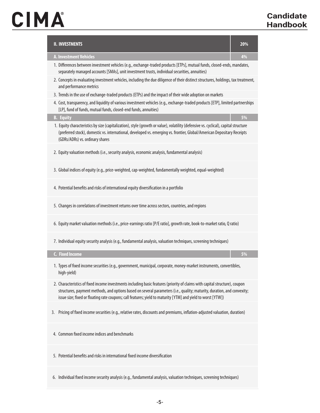# CIMA

| <b>II. INVESTMENTS</b>                                                                                                                                                                                                                                                                                                                                                 | 20% |
|------------------------------------------------------------------------------------------------------------------------------------------------------------------------------------------------------------------------------------------------------------------------------------------------------------------------------------------------------------------------|-----|
| <b>A. Investment Vehicles</b>                                                                                                                                                                                                                                                                                                                                          | 4%  |
| 1. Differences between investment vehicles (e.g., exchange-traded products [ETPs], mutual funds, closed-ends, mandates,<br>separately managed accounts [SMAs], unit investment trusts, individual securities, annuities)                                                                                                                                               |     |
| 2. Concepts in evaluating investment vehicles, including the due diligence of their distinct structures, holdings, tax treatment,<br>and performance metrics                                                                                                                                                                                                           |     |
| 3. Trends in the use of exchange-traded products (ETPs) and the impact of their wide adoption on markets                                                                                                                                                                                                                                                               |     |
| 4. Cost, transparency, and liquidity of various investment vehicles (e.g., exchange-traded products [ETP], limited partnerships<br>[LP], fund of funds, mutual funds, closed-end funds, annuities)                                                                                                                                                                     |     |
| <b>B.</b> Equity                                                                                                                                                                                                                                                                                                                                                       | 5%  |
| 1. Equity characteristics by size (capitalization), style (growth or value), volatility (defensive vs. cyclical), capital structure<br>(preferred stock), domestic vs. international, developed vs. emerging vs. frontier, Global/American Depositary Receipts<br>(GDRs/ADRs) vs. ordinary shares                                                                      |     |
| 2. Equity valuation methods (i.e., security analysis, economic analysis, fundamental analysis)                                                                                                                                                                                                                                                                         |     |
| 3. Global indices of equity (e.g., price-weighted, cap-weighted, fundamentally weighted, equal-weighted)                                                                                                                                                                                                                                                               |     |
| 4. Potential benefits and risks of international equity diversification in a portfolio                                                                                                                                                                                                                                                                                 |     |
| 5. Changes in correlations of investment returns over time across sectors, countries, and regions                                                                                                                                                                                                                                                                      |     |
| 6. Equity market valuation methods (i.e., price-earnings ratio [P/E ratio], growth rate, book-to-market ratio, Q ratio)                                                                                                                                                                                                                                                |     |
| 7. Individual equity security analysis (e.g., fundamental analysis, valuation techniques, screening techniques)                                                                                                                                                                                                                                                        |     |
| <b>C.</b> Fixed Income                                                                                                                                                                                                                                                                                                                                                 | 5%  |
| 1. Types of fixed income securities (e.g., government, municipal, corporate, money-market instruments, convertibles,<br>high-yield)                                                                                                                                                                                                                                    |     |
| 2. Characteristics of fixed income investments including basic features (priority of claims with capital structure), coupon<br>structures, payment methods, and options based on several parameters (i.e., quality; maturity, duration, and convexity;<br>issue size; fixed or floating rate coupons; call features; yield to maturity [YTM] and yield to worst [YTW]) |     |
| 3. Pricing of fixed income securities (e.g., relative rates, discounts and premiums, inflation-adjusted valuation, duration)                                                                                                                                                                                                                                           |     |
| 4. Common fixed income indices and benchmarks                                                                                                                                                                                                                                                                                                                          |     |
| 5. Potential benefits and risks in international fixed income diversification                                                                                                                                                                                                                                                                                          |     |
| 6. Individual fixed income security analysis (e.g., fundamental analysis, valuation techniques, screening techniques)                                                                                                                                                                                                                                                  |     |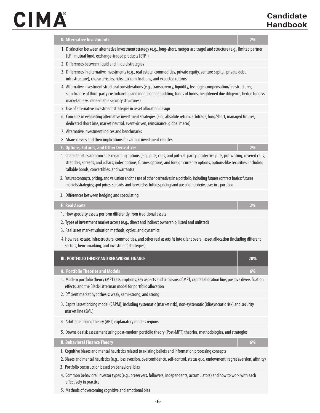| <b>D. Alternative Investments</b>                                                                                                                                                                                                                                                                                           | 2%  |
|-----------------------------------------------------------------------------------------------------------------------------------------------------------------------------------------------------------------------------------------------------------------------------------------------------------------------------|-----|
| 1. Distinction between alternative investment strategy (e.g., long-short, merger arbitrage) and structure (e.g., limited partner<br>[LP], mutual fund, exchange-traded products [ETP])                                                                                                                                      |     |
| 2. Differences between liquid and illiquid strategies                                                                                                                                                                                                                                                                       |     |
| 3. Differences in alternative investments (e.g., real estate, commodities, private equity, venture capital, private debt,<br>infrastructure), characteristics, risks, tax ramifications, and expected returns                                                                                                               |     |
| 4. Alternative investment structural considerations (e.g., transparency, liquidity, leverage, compensation/fee structures;<br>significance of third-party custodianship and independent auditing; funds of funds; heightened due diligence; hedge fund vs.<br>marketable vs. redeemable security structures)                |     |
| 5. Use of alternative investment strategies in asset allocation design                                                                                                                                                                                                                                                      |     |
| 6. Concepts in evaluating alternative investment strategies (e.g., absolute return, arbitrage, long/short, managed futures,<br>dedicated short bias, market neutral, event-driven, reinsurance, global macro)                                                                                                               |     |
| 7. Alternative investment indices and benchmarks                                                                                                                                                                                                                                                                            |     |
| 8. Share classes and their implications for various investment vehicles                                                                                                                                                                                                                                                     |     |
| <b>E. Options, Futures, and Other Derivatives</b>                                                                                                                                                                                                                                                                           | 2%  |
| 1. Characteristics and concepts regarding options (e.g., puts, calls, and put-call parity; protective puts, put writing, covered calls,<br>straddles, spreads, and collars; index options, futures options, and foreign currency options; options-like securities, including<br>callable bonds, convertibles, and warrants) |     |
| 2. Futures contracts, pricing, and valuation and the use of other derivatives in a portfolio, including futures contract basics; futures<br>markets strategies; spot prices, spreads, and forward vs. futures pricing; and use of other derivatives in a portfolio                                                          |     |
| 3. Differences between hedging and speculating                                                                                                                                                                                                                                                                              |     |
| <b>F. Real Assets</b>                                                                                                                                                                                                                                                                                                       | 2%  |
| 1. How specialty assets perform differently from traditional assets                                                                                                                                                                                                                                                         |     |
| 2. Types of investment market access (e.g., direct and indirect ownership, listed and unlisted)                                                                                                                                                                                                                             |     |
| 3. Real asset market valuation methods, cycles, and dynamics                                                                                                                                                                                                                                                                |     |
| 4. How real estate, infrastructure, commodities, and other real assets fit into client overall asset allocation (including different<br>sectors, benchmarking, and investment strategies)                                                                                                                                   |     |
| III. PORTFOLIO THEORY AND BEHAVIORAL FINANCE                                                                                                                                                                                                                                                                                | 20% |
| A. Portfolio Theories and Models                                                                                                                                                                                                                                                                                            | 6%  |
| 1. Modern portfolio theory (MPT) assumptions, key aspects and criticisms of MPT, capital allocation line, positive diversification<br>effects, and the Black-Litterman model for portfolio allocation                                                                                                                       |     |
| 2. Efficient market hypothesis: weak, semi-strong, and strong                                                                                                                                                                                                                                                               |     |
| 3. Capital asset pricing model (CAPM), including systematic (market risk), non-systematic (idiosyncratic risk) and security<br>market line (SML)                                                                                                                                                                            |     |
| 4. Arbitrage pricing theory (APT) explanatory models regions                                                                                                                                                                                                                                                                |     |
| 5. Downside risk assessment using post-modern portfolio theory (Post-MPT) theories, methodologies, and strategies                                                                                                                                                                                                           |     |
| <b>B. Behavioral Finance Theory</b>                                                                                                                                                                                                                                                                                         | 6%  |
| 1. Cognitive biases and mental heuristics related to existing beliefs and information processing concepts                                                                                                                                                                                                                   |     |
| 2. Biases and mental heuristics (e.g., loss aversion, overconfidence, self-control, status quo, endowment, regret aversion, affinity)                                                                                                                                                                                       |     |
| 3. Portfolio construction based on behavioral bias                                                                                                                                                                                                                                                                          |     |
| 4. Common behavioral investor types (e.g., preservers, followers, independents, accumulators) and how to work with each<br>effectively in practice                                                                                                                                                                          |     |

5. Methods of overcoming cognitive and emotional bias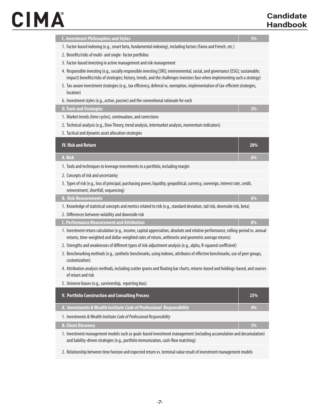# CIMA

| <b>C. Investment Philosophies and Styles</b>                                                                                                                                                                                                                   | 5%    |
|----------------------------------------------------------------------------------------------------------------------------------------------------------------------------------------------------------------------------------------------------------------|-------|
| 1. Factor-based indexing (e.g., smart beta, fundamental indexing), including factors (Fama and French, etc.)                                                                                                                                                   |       |
| 2. Benefits/risks of multi- and single-factor portfolios                                                                                                                                                                                                       |       |
| 3. Factor-based investing in active management and risk management                                                                                                                                                                                             |       |
| 4. Responsible investing (e.g., socially responsible investing [SRI]; environmental, social, and governance [ESG]; sustainable;<br>impact) benefits/risks of strategies; history, trends, and the challenges investors face when implementing such a strategy) |       |
| 5. Tax-aware investment strategies (e.g., tax efficiency, deferral vs. exemption, implementation of tax-efficient strategies,<br>location)                                                                                                                     |       |
| 6. Investment styles (e.g., active, passive) and the conventional rationale for each                                                                                                                                                                           |       |
| <b>D. Tools and Strategies</b>                                                                                                                                                                                                                                 | 3%    |
| 1. Market trends (time cycles), continuation, and corrections                                                                                                                                                                                                  |       |
| 2. Technical analysis (e.g., Dow Theory, trend analysis, intermarket analysis, momentum indicators)                                                                                                                                                            |       |
| 3. Tactical and dynamic asset allocation strategies                                                                                                                                                                                                            |       |
| <b>IV. Risk and Return</b>                                                                                                                                                                                                                                     | 20%   |
| A. Risk                                                                                                                                                                                                                                                        | 6%    |
| 1. Tools and techniques to leverage investments in a portfolio, including margin                                                                                                                                                                               |       |
| 2. Concepts of risk and uncertainty                                                                                                                                                                                                                            |       |
| 3. Types of risk (e.g., loss of principal, purchasing power, liquidity, geopolitical, currency, sovereign, interest rate, credit,<br>reinvestment, shortfall, sequencing)                                                                                      |       |
| <b>B. Risk Measurements</b>                                                                                                                                                                                                                                    | $6\%$ |
| 1. Knowledge of statistical concepts and metrics related to risk (e.g., standard deviation, tail risk, downside risk, beta)                                                                                                                                    |       |
| 2. Differences between volatility and downside risk                                                                                                                                                                                                            |       |
| <b>C. Performance Measurement and Attribution</b>                                                                                                                                                                                                              | 8%    |
| 1. Investment return calculation (e.g., income, capital appreciation, absolute and relative performance, rolling-period vs. annual<br>returns, time-weighted and dollar-weighted rates of return, arithmetic and geometric average returns)                    |       |
| 2. Strengths and weaknesses of different types of risk-adjustment analysis (e.g., alpha, R-squared coefficient)                                                                                                                                                |       |
| 3. Benchmarking methods (e.g., synthetic benchmarks, using indexes, attributes of effective benchmarks, use of peer groups,<br>customization)                                                                                                                  |       |
| 4. Attribution analysis methods, including scatter grams and floating bar charts, returns-based and holdings-based, and sources<br>of return and risk                                                                                                          |       |
| 5. Universe biases (e.g., survivorship, reporting bias)                                                                                                                                                                                                        |       |
| V. Portfolio Construction and Consulting Process                                                                                                                                                                                                               | 25%   |
| A. Investments & Wealth Institute Code of Professional Responsibility                                                                                                                                                                                          | 4%    |
| 1. Investments & Wealth Institute Code of Professional Responsibility                                                                                                                                                                                          |       |
| <b>B. Client Discovery</b>                                                                                                                                                                                                                                     | 3%    |
| 1. Investment management models such as goals-based investment management (including accumulation and decumulation)<br>and liability-driven strategies (e.g., portfolio immunization, cash-flow matching)                                                      |       |
| 2. Relationship between time horizon and expected return vs. terminal value result of investment management models                                                                                                                                             |       |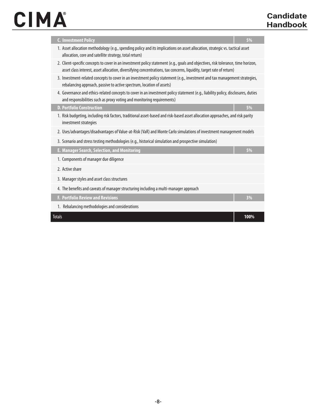# CIMA

| <b>C. Investment Policy</b><br>1. Asset allocation methodology (e.g., spending policy and its implications on asset allocation, strategic vs. tactical asset<br>allocation, core and satellite strategy, total return)<br>2. Client-specific concepts to cover in an investment policy statement (e.g., goals and objectives, risk tolerance, time horizon,<br>asset class interest, asset allocation, diversifying concentrations, tax concerns, liquidity, target rate of return)<br>3. Investment-related concepts to cover in an investment policy statement (e.g., investment and tax management strategies,<br>rebalancing approach, passive to active spectrum, location of assets)<br>4. Governance and ethics-related concepts to cover in an investment policy statement (e.g., liability policy, disclosures, duties<br>and responsibilities such as proxy voting and monitoring requirements)<br><b>D. Portfolio Construction</b> | 5% |
|-----------------------------------------------------------------------------------------------------------------------------------------------------------------------------------------------------------------------------------------------------------------------------------------------------------------------------------------------------------------------------------------------------------------------------------------------------------------------------------------------------------------------------------------------------------------------------------------------------------------------------------------------------------------------------------------------------------------------------------------------------------------------------------------------------------------------------------------------------------------------------------------------------------------------------------------------|----|
|                                                                                                                                                                                                                                                                                                                                                                                                                                                                                                                                                                                                                                                                                                                                                                                                                                                                                                                                               |    |
|                                                                                                                                                                                                                                                                                                                                                                                                                                                                                                                                                                                                                                                                                                                                                                                                                                                                                                                                               |    |
|                                                                                                                                                                                                                                                                                                                                                                                                                                                                                                                                                                                                                                                                                                                                                                                                                                                                                                                                               |    |
|                                                                                                                                                                                                                                                                                                                                                                                                                                                                                                                                                                                                                                                                                                                                                                                                                                                                                                                                               |    |
|                                                                                                                                                                                                                                                                                                                                                                                                                                                                                                                                                                                                                                                                                                                                                                                                                                                                                                                                               |    |
|                                                                                                                                                                                                                                                                                                                                                                                                                                                                                                                                                                                                                                                                                                                                                                                                                                                                                                                                               | 5% |
| 1. Risk budgeting, including risk factors, traditional asset-based and risk-based asset allocation approaches, and risk parity<br>investment strategies                                                                                                                                                                                                                                                                                                                                                                                                                                                                                                                                                                                                                                                                                                                                                                                       |    |
| 2. Uses/advantages/disadvantages of Value-at-Risk (VaR) and Monte Carlo simulations of investment management models                                                                                                                                                                                                                                                                                                                                                                                                                                                                                                                                                                                                                                                                                                                                                                                                                           |    |
| 3. Scenario and stress testing methodologies (e.g., historical simulation and prospective simulation)                                                                                                                                                                                                                                                                                                                                                                                                                                                                                                                                                                                                                                                                                                                                                                                                                                         |    |
| E. Manager Search, Selection, and Monitoring                                                                                                                                                                                                                                                                                                                                                                                                                                                                                                                                                                                                                                                                                                                                                                                                                                                                                                  | 5% |
| 1. Components of manager due diligence                                                                                                                                                                                                                                                                                                                                                                                                                                                                                                                                                                                                                                                                                                                                                                                                                                                                                                        |    |
| 2. Active share                                                                                                                                                                                                                                                                                                                                                                                                                                                                                                                                                                                                                                                                                                                                                                                                                                                                                                                               |    |
| 3. Manager styles and asset class structures                                                                                                                                                                                                                                                                                                                                                                                                                                                                                                                                                                                                                                                                                                                                                                                                                                                                                                  |    |
| 4. The benefits and caveats of manager structuring including a multi-manager approach                                                                                                                                                                                                                                                                                                                                                                                                                                                                                                                                                                                                                                                                                                                                                                                                                                                         |    |
| <b>F. Portfolio Review and Revisions</b>                                                                                                                                                                                                                                                                                                                                                                                                                                                                                                                                                                                                                                                                                                                                                                                                                                                                                                      | 3% |
| 1. Rebalancing methodologies and considerations                                                                                                                                                                                                                                                                                                                                                                                                                                                                                                                                                                                                                                                                                                                                                                                                                                                                                               |    |
| <b>Totals</b>                                                                                                                                                                                                                                                                                                                                                                                                                                                                                                                                                                                                                                                                                                                                                                                                                                                                                                                                 |    |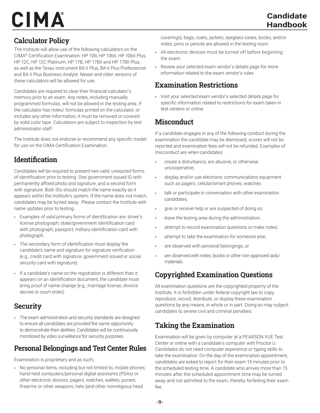#### **Calculator Policy**

The Institute will allow use of the following calculators on the CIMA® Certification Examination: HP 10b, HP 10bII, HP 10bII Plus, HP 12C, HP 12C Platinum, HP 17B, HP 17BII and HP 17BII Plus, as well as the Texas Instrument BA II Plus, BA II Plus Professional and BA II Plus Business Analyst. Newer and older versions of these calculators will be allowed for use.

Candidates are required to clear their financial calculator's memory prior to an exam. Any notes, including manually programmed formulas, will not be allowed in the testing area. If the calculator has notes/ formulas printed on the calculator, or includes any other information, it must be removed or covered by solid color tape. Calculators are subject to inspection by test administrator staff.

The Institute does not endorse or recommend any specific model for use on the CIMA Certification Examination.

#### **Identification**

Candidates will be required to present two valid, unexpired forms of identification prior to testing. One government issued ID with permanently affixed photo and signature, and a second form with signature. Both IDs should match the name exactly as it appears within the Institute's system. If the name does not match, candidates may be turned away. Please contact the Institute with name updates prior to testing.

- Examples of valid primary forms of identification are: driver's license photograph; state/government identification card with photograph; passport; military identification card with photograph.
- The secondary form of identification must display the candidate's name and signature for signature verification (e.g., credit card with signature, government issued or social security card with signature).
- If a candidate's name on the registration is different than it appears on an identification document, the candidate must bring proof of name change (e.g., marriage license, divorce decree or court order).

#### **Security**

• The exam administration and security standards are designed to ensure all candidates are provided the same opportunity to demonstrate their abilities. Candidates will be continuously monitored by video surveillance for security purposes.

#### Personal Belongings and Test Center Rules

Examination is proprietary and as such;

• No personal items, including but not limited to, mobile phones, hand-held computers/personal digital assistants (PDAs) or other electronic devices, pagers, watches, wallets, purses, firearms or other weapons, hats (and other nonreligious head

coverings), bags, coats, jackets, eyeglass cases, books, and/or notes, pens or pencils are allowed in the testing room.

- All electronic devices must be turned off before beginning the exam.
- Review your selected exam vendor's details page for more information related to the exam vendor's rules.

#### Examination Restrictions

• Visit your selected exam vendor's selected details page for specific information related to restrictions for exam taken in test centers or online.

#### **Misconduct**

If a candidate engages in any of the following conduct during the examination the candidate may be dismissed, scores will not be reported and examination fees will not be refunded. Examples of misconduct are when candidates:

- create a disturbance, are abusive, or otherwise uncooperative;
- display and/or use electronic communications equipment such as pagers, cellular/smart phones, watches.
- talk or participate in conversation with other examination candidates;
- give or receive help or are suspected of doing so;
- leave the testing area during the administration;
- attempt to record examination questions or make notes;
- attempt to take the examination for someone else;
- are observed with personal belongings, or
- are observed with notes, books or other non-approved aids/ materials.

#### Copyrighted Examination Questions

All examination questions are the copyrighted property of the Institute. It is forbidden under federal copyright law to copy, reproduce, record, distribute, or display these examination questions by any means, in whole or in part. Doing so may subject candidates to severe civil and criminal penalties.

#### Taking the Examination

Examination will be given by computer at a PEARSON VUE Test Center or online with a candidate's computer with Proctor U. Candidates do not need computer experience or typing skills to take the examination. On the day of the examination appointment, candidates are asked to report for their exam 15 minutes prior to the scheduled testing time. A candidate who arrives more than 15 minutes after the scheduled appointment time may be turned away and not admitted to the exam, thereby forfeiting their exam fee.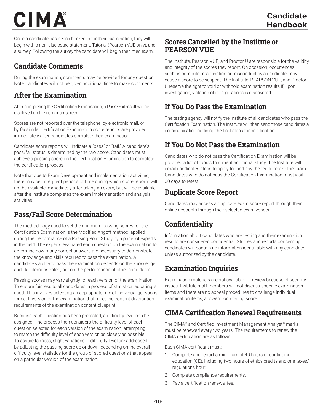Once a candidate has been checked in for their examination, they will begin with a non-disclosure statement, Tutorial (Pearson VUE only), and a survey. Following the survey the candidate will begin the timed exam.

#### Candidate Comments

During the examination, comments may be provided for any question Note: candidates will not be given additional time to make comments.

#### After the Examination

After completing the Certification Examination, a Pass/Fail result will be displayed on the computer screen.

Scores are not reported over the telephone, by electronic mail, or by facsimile. Certification Examination score reports are provided immediately after candidates complete their examination.

Candidate score reports will indicate a "pass" or "fail." A candidate's pass/fail status is determined by the raw score. Candidates must achieve a passing score on the Certification Examination to complete the certification process.

Note that due to Exam Development and implementation activities, there may be infrequent periods of time during which score reports will not be available immediately after taking an exam, but will be available after the Institute completes the exam implementation and analysis activities.

#### Pass/Fail Score Determination

The methodology used to set the minimum passing scores for the Certification Examination is the Modified Angoff method, applied during the performance of a Passing Point Study by a panel of experts in the field. The experts evaluated each question on the examination to determine how many correct answers are necessary to demonstrate the knowledge and skills required to pass the examination. A candidate's ability to pass the examination depends on the knowledge and skill demonstrated, not on the performance of other candidates.

Passing scores may vary slightly for each version of the examination. To ensure fairness to all candidates, a process of statistical equating is used. This involves selecting an appropriate mix of individual questions for each version of the examination that meet the content distribution requirements of the examination content blueprint.

Because each question has been pretested, a difficulty level can be assigned. The process then considers the difficulty level of each question selected for each version of the examination, attempting to match the difficulty level of each version as closely as possible. To assure fairness, slight variations in difficulty level are addressed by adjusting the passing score up or down, depending on the overall difficulty level statistics for the group of scored questions that appear on a particular version of the examination.

#### Scores Cancelled by the Institute or PEARSON VUE

The Institute, Pearson VUE, and Proctor U are responsible for the validity and integrity of the scores they report. On occasion, occurrences, such as computer malfunction or misconduct by a candidate, may cause a score to be suspect. The Institute, PEARSON VUE, and Proctor U reserve the right to void or withhold examination results if, upon investigation, violation of its regulations is discovered.

#### If You Do Pass the Examination

The testing agency will notify the Institute of all candidates who pass the Certification Examination. The Institute will then send those candidates a communication outlining the final steps for certification.

#### If You Do Not Pass the Examination

Candidates who do not pass the Certification Examination will be provided a list of topics that merit additional study. The Institute will email candidates steps to apply for and pay the fee to retake the exam. Candidates who do not pass the Certification Examination must wait 30 days to retest.

#### Duplicate Score Report

Candidates may access a duplicate exam score report through their online accounts through their selected exam vendor.

#### **Confidentiality**

Information about candidates who are testing and their examination results are considered confidential. Studies and reports concerning candidates will contain no information identifiable with any candidate, unless authorized by the candidate.

#### Examination Inquiries

Examination materials are not available for review because of security issues. Institute staff members will not discuss specific examination items and there are no appeal procedures to challenge individual examination items, answers, or a failing score.

#### CIMA Certification Renewal Requirements

The CIMA® and Certified Investment Management Analyst® marks must be renewed every two years. The requirements to renew the CIMA certification are as follows:

Each CIMA certificant must:

- 1. Complete and report a minimum of 40 hours of continuing education (CE), including two hours of ethics credits and one taxes/ regulations hour.
- 2. Complete compliance requirements.
- 3. Pay a certification renewal fee.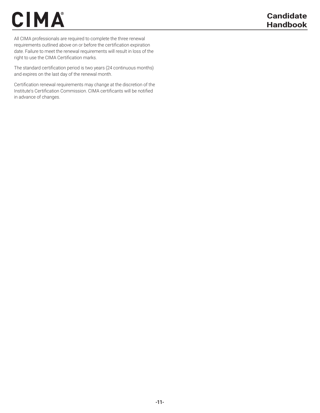All CIMA professionals are required to complete the three renewal requirements outlined above on or before the certification expiration date. Failure to meet the renewal requirements will result in loss of the right to use the CIMA Certification marks.

The standard certification period is two years (24 continuous months) and expires on the last day of the renewal month.

Certification renewal requirements may change at the discretion of the Institute's Certification Commission. CIMA certificants will be notified in advance of changes.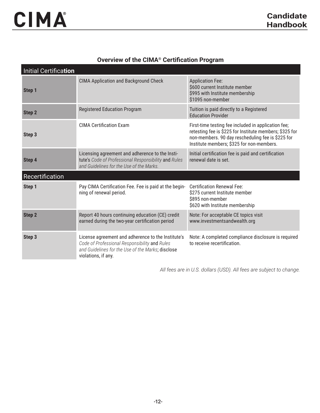#### **Overview of the CIMA® Certification Program**

| Initial Certification |                                                                                                                                                                                 |                                                                                                                                                                                                                  |
|-----------------------|---------------------------------------------------------------------------------------------------------------------------------------------------------------------------------|------------------------------------------------------------------------------------------------------------------------------------------------------------------------------------------------------------------|
| Step 1                | <b>CIMA Application and Background Check</b>                                                                                                                                    | <b>Application Fee:</b><br>\$600 current Institute member<br>\$995 with Institute membership<br>\$1095 non-member                                                                                                |
| Step 2                | <b>Registered Education Program</b>                                                                                                                                             | Tuition is paid directly to a Registered<br><b>Education Provider</b>                                                                                                                                            |
| Step 3                | <b>CIMA Certification Exam</b>                                                                                                                                                  | First-time testing fee included in application fee;<br>retesting fee is \$225 for Institute members; \$325 for<br>non-members. 90 day rescheduling fee is \$225 for<br>Institute members; \$325 for non-members. |
| Step 4                | Licensing agreement and adherence to the Insti-<br>tute's Code of Professional Responsibility and Rules<br>and Guidelines for the Use of the Marks.                             | Initial certification fee is paid and certification<br>renewal date is set.                                                                                                                                      |
| Recertification       |                                                                                                                                                                                 |                                                                                                                                                                                                                  |
| Step 1                | Pay CIMA Certification Fee. Fee is paid at the begin-<br>ning of renewal period.                                                                                                | <b>Certification Renewal Fee:</b><br>\$275 current Institute member<br>\$895 non-member<br>\$620 with Institute membership                                                                                       |
| <b>Step 2</b>         | Report 40 hours continuing education (CE) credit<br>earned during the two-year certification period                                                                             | Note: For acceptable CE topics visit<br>www.investmentsandwealth.org                                                                                                                                             |
| Step 3                | License agreement and adherence to the Institute's<br>Code of Professional Responsibility and Rules<br>and Guidelines for the Use of the Marks; disclose<br>violations, if any. | Note: A completed compliance disclosure is required<br>to receive recertification.                                                                                                                               |

*All fees are in U.S. dollars (USD). All fees are subject to change.*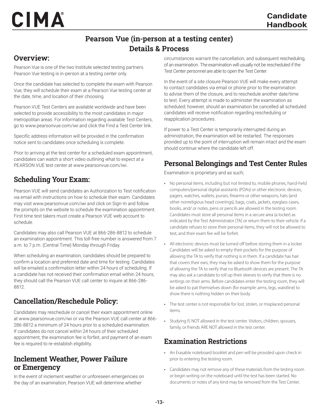#### Pearson Vue (in-person at a testing center) Details & Process

#### Overview:

CERTIFIED INVESTIGATION

CIMA

Pearson Vue is one of the two Institute selected testing partners. Pearson Vue testing is in-person at a testing center only.

Once the candidate has selected to complete the exam with Pearson Vue, they will schedule their exam at a Pearson Vue testing center at the date, time, and location of their choosing.

Pearson VUE Test Centers are available worldwide and have been selected to provide accessibility to the most candidates in major metropolitan areas. For information regarding available Test Centers, go to www.pearsonvue.com/iwi and click the Find a Test Center link.

Specific address information will be provided in the confirmation notice sent to candidates once scheduling is complete.

Prior to arriving at the test center for a scheduled exam appointment, candidates can watch a short video outlining what to expect at a PEARSON VUE test center at www.pearsonvue.com/iwi.

#### Scheduling Your Exam:

Pearson VUE will send candidates an Authorization to Test notification via email with instructions on how to schedule their exam. Candidates may visit www.pearsonvue.com/iwi and click on Sign-In and follow the prompts on the website to schedule the examination appointment. First time test takers must create a Pearson VUE web account to schedule.

Candidates may also call Pearson VUE at 866-286-8812 to schedule an examination appointment. This toll-free number is answered from 7 a.m. to 7 p.m. (Central Time) Monday through Friday.

When scheduling an examination, candidates should be prepared to confirm a location and preferred date and time for testing. Candidates will be emailed a confirmation letter within 24 hours of scheduling. If a candidate has not received their confirmation email within 24 hours, they should call the Pearson VUE call center to inquire at 866-286- 8812.

#### Cancellation/Reschedule Policy:

Candidates may reschedule or cancel their exam appointment online at www.pearsonvue.com/iwi or via the Pearson VUE call center at 866- 286-8812 a minimum of 24 hours prior to a scheduled examination. If candidates do not cancel within 24 hours of their scheduled appointment, the examination fee is forfeit, and payment of an exam fee is required to re-establish eligibility.

#### Inclement Weather, Power Failure or Emergency

In the event of inclement weather or unforeseen emergencies on the day of an examination, Pearson VUE will determine whether

circumstances warrant the cancellation, and subsequent rescheduling, of an examination. The examination will usually not be rescheduled if the Test Center personnel are able to open the Test Center.

In the event of a site closure Pearson VUE will make every attempt to contact candidates via email or phone prior to the examination to advise them of the closure, and to reschedule another date/time to test. Every attempt is made to administer the examination as scheduled; however, should an examination be cancelled all scheduled candidates will receive notification regarding rescheduling or reapplication procedures.

If power to a Test Center is temporarily interrupted during an administration, the examination will be restarted. The responses provided up to the point of interruption will remain intact and the exam should continue where the candidate left off.

#### Personal Belongings and Test Center Rules

Examination is proprietary and as such;

- No personal items, including but not limited to, mobile phones, hand-held computers/personal digital assistants (PDAs) or other electronic devices, pagers, watches, wallets, purses, firearms or other weapons, hats (and other nonreligious head coverings), bags, coats, jackets, eyeglass cases, books, and/ or notes, pens or pencils are allowed in the testing room. Candidates must store all personal items in a secure area (a locker) as indicated by the Test Administrator (TA) or return them to their vehicle. If a candidate refuses to store their personal items, they will not be allowed to test, and their exam fee will be forfeit.
- All electronic devices must be turned off before storing them in a locker. Candidates will be asked to empty their pockets for the purpose of allowing the TA to verify that nothing is in them. If a candidate has hair that covers their ears, they may be asked to show them for the purpose of allowing the TA to verify that no Bluetooth devices are present. The TA may also ask a candidate to roll up their sleeves to verify that there is no writings on their arms. Before candidates enter the testing room, they will be asked to pat themselves down (for example: arms, legs, waistline) to show there is nothing hidden on their body.
- The test center is not responsible for lost, stolen, or misplaced personal items.
- Studying IS NOT allowed in the test center. Visitors, children, spouses, family, or friends ARE NOT allowed in the test center.

#### Examination Restrictions

- An Erasable noteboard booklet and pen will be provided upon check in prior to entering the testing room.
- Candidates may not remove any of these materials from the testing room or begin writing on the noteboard until the test has been started. No documents or notes of any kind may be removed from the Test Center.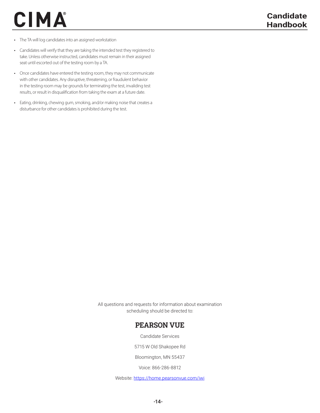- The TA will log candidates into an assigned workstation
- Candidates will verify that they are taking the intended test they registered to take. Unless otherwise instructed, candidates must remain in their assigned seat until escorted out of the testing room by a TA.
- Once candidates have entered the testing room, they may not communicate with other candidates. Any disruptive, threatening, or fraudulent behavior in the testing room may be grounds for terminating the test, invaliding test results, or result in disqualification from taking the exam at a future date.
- Eating, drinking, chewing gum, smoking, and/or making noise that creates a disturbance for other candidates is prohibited during the test.

All questions and requests for information about examination scheduling should be directed to:

#### PEARSON VUE

Candidate Services

5715 W Old Shakopee Rd

Bloomington, MN 55437

Voice: 866-286-8812

Website: https://home.pearsonvue.com/iwi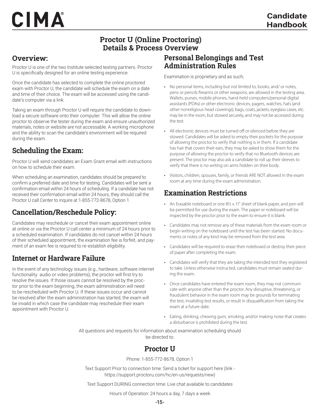#### Proctor U (Online Proctoring) Details & Process Overview

#### Overview:

Proctor U is one of the two Institute selected testing partners. Proctor U is specifically designed for an online testing experience.

Once the candidate has selected to complete the online proctored exam with Proctor U, the candidate will schedule the exam on a date and time of their choice. The exam will be accessed using the candidate's computer via a link.

Taking an exam through Proctor U will require the candidate to download a secure software onto their computer. This will allow the online proctor to observe the tester during the exam and ensure unauthorized materials, notes or website are not accessable. A working microphone and the ability to scan the candidate's environment will be required during the exam.

#### Scheduling the Exam:

Proctor U will send candidates an Exam Grant email with instructions on how to schedule their exam.

When scheduling an examination, candidates should be prepared to confirm a preferred date and time for testing. Candidates will be sent a confirmation email within 24 hours of scheduling. If a candidate has not received their confirmation email within 24 hours, they should call the Proctor U call Center to inquire at 1-855-772-8678, Option 1.

#### Cancellation/Reschedule Policy:

Candidates may reschedule or cancel their exam appointment online at online or via the Proctor U call center a minimum of 24 hours prior to a scheduled examination. If candidates do not cancel within 24 hours of their scheduled appointment, the examination fee is forfeit, and payment of an exam fee is required to re-establish eligibility.

#### Internet or Hardware Failure

In the event of any technology issues (e.g., hardware, software internet functionality audio or video problems), the proctor will first try to resolve the issues. If those issues cannot be resolved by the proctor prior to the exam beginning, the exam administration will need to be rescheduled with Proctor U. If these issues occur and cannot be resolved after the exam administration has started, the exam will be invalid in which case the candidate may reschedule their exam appointment with Proctor U.

#### Personal Belongings and Test Administration Rules

Examination is proprietary and as such;

- No personal items, including but not limited to, books, and/ or notes, pens or pencils firearms or other weapons, are allowed in the testing area. Wallets, purses, mobile phones, hand-held computers/personal digital assistants (PDAs) or other electronic devices, pagers, watches, hats (and other nonreligious head coverings), bags, coats, jackets, eyeglass cases, etc. may be in the room, but stowed securely, and may not be accessed during the test.
- All electronic devices must be turned off or silenced before they are stowed. Candidates will be asked to empty their pockets for the purpose of allowing the proctor to verify that nothing is in them. If a candidate has hair that covers their ears, they may be asked to show them for the purpose of allowing the proctor to verify that no Bluetooth devices are present. The proctor may also ask a candidate to roll up their sleeves to verify that there is no writing on arms hidden on their body.
- Visitors, children, spouses, family, or friends ARE NOT allowed in the exam room at any time during the exam administration.

#### Examination Restrictions

- An Erasable noteboard or one 8<sup>1</sup>/<sub>2</sub> x 11" sheet of blank paper, and pen will be permitted for use during the exam. The paper or noteboard will be inspected by the proctor prior to the exam to ensure it is blank.
- Candidates may not remove any of these materials from the exam room or begin writing on the noteboard until the test has been started. No documents or notes of any kind may be removed from the test area.
- Candidates will be required to erase their noteboard or destroy their piece of paper after completing the exam.
- Candidates will verify that they are taking the intended test they registered to take. Unless otherwise instructed, candidates must remain seated during the exam.
- Once candidates have entered the exam room, they may not communicate with anyone other than the proctor. Any disruptive, threatening, or fraudulent behavior in the exam room may be grounds for terminating the test, invaliding test results, or result in disqualification from taking the exam at a future date.
- Eating, drinking, chewing gum, smoking, and/or making noise that creates a disturbance is prohibited during the test.

All questions and requests for information about examination scheduling should be directed to:

#### Proctor II

Phone: 1-855-772-8678, Option 1

Text Support Prior to connection time: Send a ticket for support here (link https://support.proctoru.com/hc/en-us/requests/new)

Text Support DURING connection time: Live chat available to candidates

Hours of Operation: 24 hours a day, 7 days a week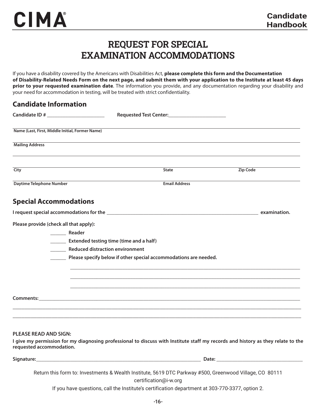#### REQUEST FOR SPECIAL EXAMINATION ACCOMMODATIONS

If you have a disability covered by the Americans with Disabilities Act, **please complete this form and the Documentation of Disability-Related Needs Form on the next page, and submit them with your application to the Institute at least 45 days prior to your requested examination date**. The information you provide, and any documentation regarding your disability and your need for accommodation in testing, will be treated with strict confidentiality.

| <b>Candidate Information</b>                    |                                                                                                                                  |                 |
|-------------------------------------------------|----------------------------------------------------------------------------------------------------------------------------------|-----------------|
|                                                 |                                                                                                                                  |                 |
| Name (Last, First, Middle Initial, Former Name) |                                                                                                                                  |                 |
| <b>Mailing Address</b>                          |                                                                                                                                  |                 |
| City                                            | <b>State</b>                                                                                                                     | <b>Zip Code</b> |
| <b>Daytime Telephone Number</b>                 | <b>Email Address</b>                                                                                                             |                 |
| <b>Special Accommodations</b>                   |                                                                                                                                  |                 |
|                                                 |                                                                                                                                  |                 |
| Please provide (check all that apply):          |                                                                                                                                  |                 |
| <b>Manuel Reader</b>                            |                                                                                                                                  |                 |
|                                                 | <b>Extended testing time (time and a half)</b>                                                                                   |                 |
|                                                 | ________ Reduced distraction environment                                                                                         |                 |
|                                                 | Please specify below if other special accommodations are needed.                                                                 |                 |
|                                                 |                                                                                                                                  |                 |
|                                                 |                                                                                                                                  |                 |
|                                                 |                                                                                                                                  |                 |
|                                                 |                                                                                                                                  |                 |
|                                                 |                                                                                                                                  |                 |
|                                                 |                                                                                                                                  |                 |
| <b>PLEASE READ AND SIGN:</b>                    | I give my permission for my diagnosing professional to discuss with Institute staff my records and history as they relate to the |                 |
| requested accommodation.                        |                                                                                                                                  |                 |

**Signature:\_\_\_\_\_\_\_\_\_\_\_\_\_\_\_\_\_\_\_\_\_\_\_\_\_\_\_\_\_\_\_\_\_\_\_\_\_\_\_\_\_\_\_\_\_\_\_\_\_\_\_\_\_\_\_\_\_\_\_\_\_\_\_ Date: \_\_\_\_\_\_\_\_\_\_\_\_\_\_\_\_\_\_\_\_\_\_\_\_\_\_\_\_\_\_\_\_\_** Return this form to: Investments & Wealth Institute, 5619 DTC Parkway #500, Greenwood Village, CO 80111 certification@i-w.org

If you have questions, call the Institute's certification department at 303-770-3377, option 2.